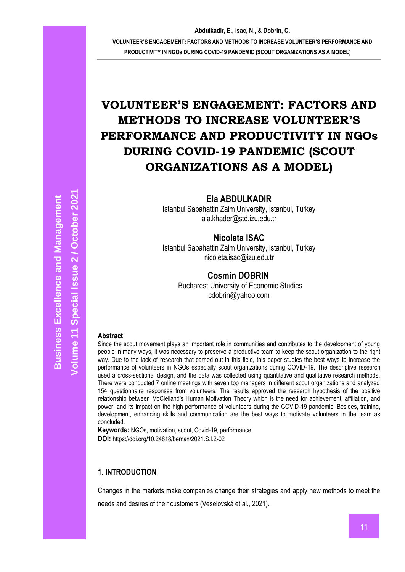## **Ela ABDULKADIR**

Istanbul Sabahattin Zaim University, Istanbul, Turkey ala.khader@std.izu.edu.tr

## **Nicoleta ISAC**

Istanbul Sabahattin Zaim University, Istanbul, Turkey nicoleta.isac@izu.edu.tr

## **Cosmin DOBRIN**

 Bucharest University of Economic Studies cdobrin@yahoo.com

#### **Abstract**

Since the scout movement plays an important role in communities and contributes to the development of young people in many ways, it was necessary to preserve a productive team to keep the scout organization to the right way. Due to the lack of research that carried out in this field, this paper studies the best ways to increase the performance of volunteers in NGOs especially scout organizations during COVID-19. The descriptive research used a cross-sectional design, and the data was collected using quantitative and qualitative research methods. There were conducted 7 online meetings with seven top managers in different scout organizations and analyzed 154 questionnaire responses from volunteers. The results approved the research hypothesis of the positive relationship between McClelland's Human Motivation Theory which is the need for achievement, affiliation, and power, and its impact on the high performance of volunteers during the COVID-19 pandemic. Besides, training, development, enhancing skills and communication are the best ways to motivate volunteers in the team as concluded.

**Keywords:** NGOs, motivation, scout, Covid-19, performance. **DOI:** https://doi.org/10.24818/beman/2021.S.I.2-02

#### **1. INTRODUCTION**

Changes in the markets make companies change their strategies and apply new methods to meet the needs and desires of their customers (Veselovská et al., 2021).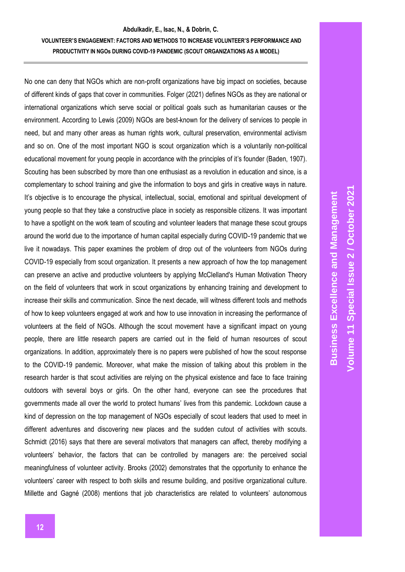No one can deny that NGOs which are non-profit organizations have big impact on societies, because of different kinds of gaps that cover in communities. Folger (2021) defines NGOs as they are national or international organizations which serve social or political goals such as humanitarian causes or the environment. According to Lewis (2009) NGOs are best-known for the delivery of services to people in need, but and many other areas as human rights work, cultural preservation, environmental activism and so on. One of the most important NGO is scout organization which is a voluntarily non-political educational movement for young people in accordance with the principles of it's founder (Baden, 1907). Scouting has been subscribed by more than one enthusiast as a revolution in education and since, is a complementary to school training and give the information to boys and girls in creative ways in nature. It's objective is to encourage the physical, intellectual, social, emotional and spiritual development of young people so that they take a constructive place in society as responsible citizens. It was important to have a spotlight on the work team of scouting and volunteer leaders that manage these scout groups around the world due to the importance of human capital especially during COVID-19 pandemic that we live it nowadays. This paper examines the problem of drop out of the volunteers from NGOs during COVID-19 especially from scout organization. It presents a new approach of how the top management can preserve an active and productive volunteers by applying McClelland's Human Motivation Theory on the field of volunteers that work in scout organizations by enhancing training and development to increase their skills and communication. Since the next decade, will witness different tools and methods of how to keep volunteers engaged at work and how to use innovation in increasing the performance of volunteers at the field of NGOs. Although the scout movement have a significant impact on young people, there are little research papers are carried out in the field of human resources of scout organizations. In addition, approximately there is no papers were published of how the scout response to the COVID-19 pandemic. Moreover, what make the mission of talking about this problem in the research harder is that scout activities are relying on the physical existence and face to face training outdoors with several boys or girls. On the other hand, everyone can see the procedures that governments made all over the world to protect humans' lives from this pandemic. Lockdown cause a kind of depression on the top management of NGOs especially of scout leaders that used to meet in different adventures and discovering new places and the sudden cutout of activities with scouts. Schmidt (2016) says that there are several motivators that managers can affect, thereby modifying a volunteers' behavior, the factors that can be controlled by managers are: the perceived social meaningfulness of volunteer activity. Brooks (2002) demonstrates that the opportunity to enhance the volunteers' career with respect to both skills and resume building, and positive organizational culture. Millette and Gagné (2008) mentions that job characteristics are related to volunteers' autonomous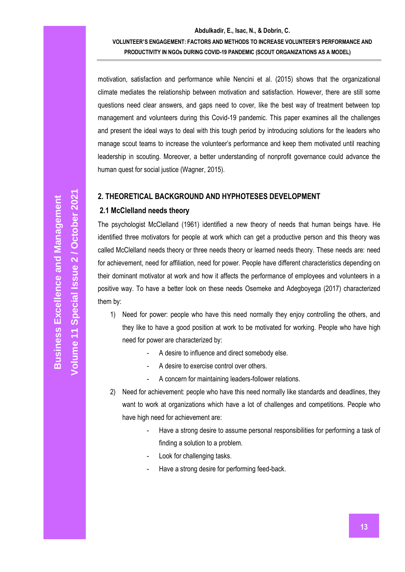# **Abdulkadir, E., Isac, N., & Dobrin, C. VOLUNTEER'S ENGAGEMENT: FACTORS AND METHODS TO INCREASE VOLUNTEER'S PERFORMANCE AND**

**PRODUCTIVITY IN NGOs DURING COVID-19 PANDEMIC (SCOUT ORGANIZATIONS AS A MODEL)**

motivation, satisfaction and performance while Nencini et al. (2015) shows that the organizational climate mediates the relationship between motivation and satisfaction. However, there are still some questions need clear answers, and gaps need to cover, like the best way of treatment between top management and volunteers during this Covid-19 pandemic. This paper examines all the challenges and present the ideal ways to deal with this tough period by introducing solutions for the leaders who manage scout teams to increase the volunteer's performance and keep them motivated until reaching leadership in scouting. Moreover, a better understanding of nonprofit governance could advance the human quest for social justice (Wagner, 2015).

## **2. THEORETICAL BACKGROUND AND HYPHOTESES DEVELOPMENT**

## **2.1 McClelland needs theory**

The psychologist McClelland (1961) identified a new theory of needs that human beings have. He identified three motivators for people at work which can get a productive person and this theory was called McClelland needs theory or three needs theory or learned needs theory. These needs are: need for achievement, need for affiliation, need for power. People have different characteristics depending on their dominant motivator at work and how it affects the performance of employees and volunteers in a positive way. To have a better look on these needs Osemeke and Adegboyega (2017) characterized them by:

- 1) Need for power: people who have this need normally they enjoy controlling the others, and they like to have a good position at work to be motivated for working. People who have high need for power are characterized by:
	- A desire to influence and direct somebody else.
	- A desire to exercise control over others.
	- A concern for maintaining leaders-follower relations.
- 2) Need for achievement: people who have this need normally like standards and deadlines, they want to work at organizations which have a lot of challenges and competitions. People who have high need for achievement are:
	- Have a strong desire to assume personal responsibilities for performing a task of finding a solution to a problem.
	- Look for challenging tasks.
	- Have a strong desire for performing feed-back.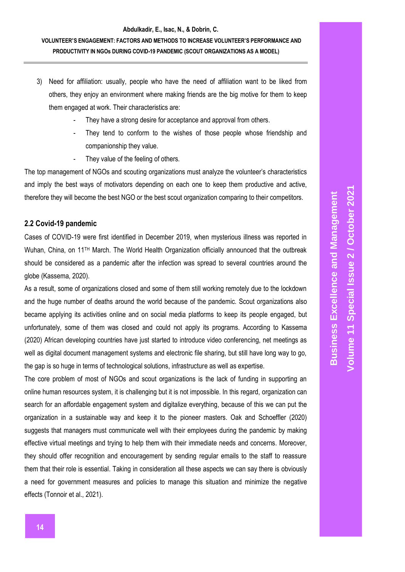- 3) Need for affiliation: usually, people who have the need of affiliation want to be liked from others, they enjoy an environment where making friends are the big motive for them to keep them engaged at work. Their characteristics are:
	- They have a strong desire for acceptance and approval from others.
	- They tend to conform to the wishes of those people whose friendship and companionship they value.
	- They value of the feeling of others.

The top management of NGOs and scouting organizations must analyze the volunteer's characteristics and imply the best ways of motivators depending on each one to keep them productive and active, therefore they will become the best NGO or the best scout organization comparing to their competitors.

#### **2.2 Covid-19 pandemic**

Cases of COVID-19 were first identified in December 2019, when mysterious illness was reported in Wuhan, China, on 11<sup>TH</sup> March. The World Health Organization officially announced that the outbreak should be considered as a pandemic after the infection was spread to several countries around the globe (Kassema, 2020).

As a result, some of organizations closed and some of them still working remotely due to the lockdown and the huge number of deaths around the world because of the pandemic. Scout organizations also became applying its activities online and on social media platforms to keep its people engaged, but unfortunately, some of them was closed and could not apply its programs. According to Kassema (2020) African developing countries have just started to introduce video conferencing, net meetings as well as digital document management systems and electronic file sharing, but still have long way to go, the gap is so huge in terms of technological solutions, infrastructure as well as expertise.

The core problem of most of NGOs and scout organizations is the lack of funding in supporting an online human resources system, it is challenging but it is not impossible. In this regard, organization can search for an affordable engagement system and digitalize everything, because of this we can put the organization in a sustainable way and keep it to the pioneer masters. Oak and Schoeffler (2020) suggests that managers must communicate well with their employees during the pandemic by making effective virtual meetings and trying to help them with their immediate needs and concerns. Moreover, they should offer recognition and encouragement by sending regular emails to the staff to reassure them that their role is essential. Taking in consideration all these aspects we can say there is obviously a need for government measures and policies to manage this situation and minimize the negative effects (Tonnoir et al., 2021).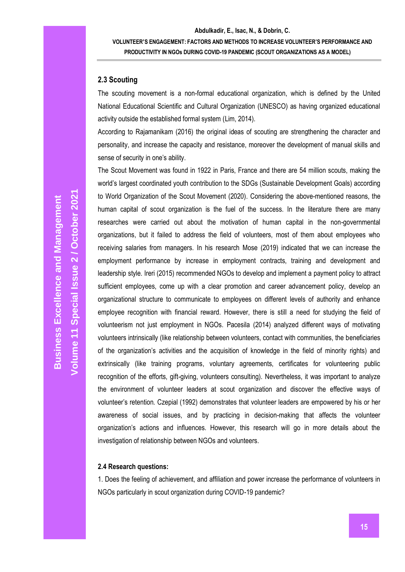#### **2.3 Scouting**

The scouting movement is a non-formal educational organization, which is defined by the United National Educational Scientific and Cultural Organization (UNESCO) as having organized educational activity outside the established formal system (Lim, 2014).

According to Rajamanikam (2016) the original ideas of scouting are strengthening the character and personality, and increase the capacity and resistance, moreover the development of manual skills and sense of security in one's ability.

The Scout Movement was found in 1922 in Paris, France and there are 54 million scouts, making the world's largest coordinated youth contribution to the SDGs (Sustainable Development Goals) according to World Organization of the Scout Movement (2020). Considering the above-mentioned reasons, the human capital of scout organization is the fuel of the success. In the literature there are many researches were carried out about the motivation of human capital in the non-governmental organizations, but it failed to address the field of volunteers, most of them about employees who receiving salaries from managers. In his research Mose (2019) indicated that we can increase the employment performance by increase in employment contracts, training and development and leadership style. Ireri (2015) recommended NGOs to develop and implement a payment policy to attract sufficient employees, come up with a clear promotion and career advancement policy, develop an organizational structure to communicate to employees on different levels of authority and enhance employee recognition with financial reward. However, there is still a need for studying the field of volunteerism not just employment in NGOs. Pacesila (2014) analyzed different ways of motivating volunteers intrinsically (like relationship between volunteers, contact with communities, the beneficiaries of the organization's activities and the acquisition of knowledge in the field of minority rights) and extrinsically (like training programs, voluntary agreements, certificates for volunteering public recognition of the efforts, gift-giving, volunteers consulting). Nevertheless, it was important to analyze the environment of volunteer leaders at scout organization and discover the effective ways of volunteer's retention. Czepial (1992) demonstrates that volunteer leaders are empowered by his or her awareness of social issues, and by practicing in decision-making that affects the volunteer organization's actions and influences. However, this research will go in more details about the investigation of relationship between NGOs and volunteers.

#### **2.4 Research questions:**

1. Does the feeling of achievement, and affiliation and power increase the performance of volunteers in NGOs particularly in scout organization during COVID-19 pandemic?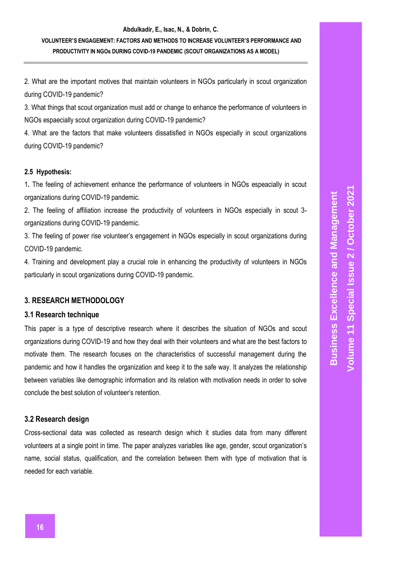2. What are the important motives that maintain volunteers in NGOs particularly in scout organization during COVID-19 pandemic?

3. What things that scout organization must add or change to enhance the performance of volunteers in NGOs espaecially scout organization during COVID-19 pandemic?

4. What are the factors that make volunteers dissatisfied in NGOs especially in scout organizations during COVID-19 pandemic?

## **2.5 Hypothesis:**

1**.** The feeling of achievement enhance the performance of volunteers in NGOs espeacially in scout organizations during COVID-19 pandemic.

2. The feeling of affiliation increase the productivity of volunteers in NGOs especially in scout 3 organizations during COVID-19 pandemic.

3. The feeling of power rise volunteer's engagement in NGOs especially in scout organizations during COVID-19 pandemic.

4. Training and development play a crucial role in enhancing the productivity of volunteers in NGOs particularly in scout organizations during COVID-19 pandemic.

## **3. RESEARCH METHODOLOGY**

## **3.1 Research technique**

This paper is a type of descriptive research where it describes the situation of NGOs and scout organizations during COVID-19 and how they deal with their volunteers and what are the best factors to motivate them. The research focuses on the characteristics of successful management during the pandemic and how it handles the organization and keep it to the safe way. It analyzes the relationship between variables like demographic information and its relation with motivation needs in order to solve conclude the best solution of volunteer's retention.

## **3.2 Research design**

Cross-sectional data was collected as research design which it studies data from many different volunteers at a single point in time. The paper analyzes variables like age, gender, scout organization's name, social status, qualification, and the correlation between them with type of motivation that is needed for each variable.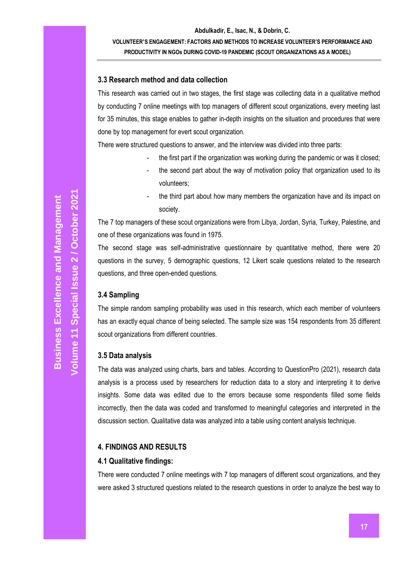### **3.3 Research method and data collection**

This research was carried out in two stages, the first stage was collecting data in a qualitative method by conducting 7 online meetings with top managers of different scout organizations, every meeting last for 35 minutes, this stage enables to gather in-depth insights on the situation and procedures that were done by top management for evert scout organization.

There were structured questions to answer, and the interview was divided into three parts:

- the first part if the organization was working during the pandemic or was it closed;
- the second part about the way of motivation policy that organization used to its volunteers;
- the third part about how many members the organization have and its impact on society.

The 7 top managers of these scout organizations were from Libya, Jordan, Syria, Turkey, Palestine, and one of these organizations was found in 1975.

The second stage was self-administrative questionnaire by quantitative method, there were 20 questions in the survey, 5 demographic questions, 12 Likert scale questions related to the research questions, and three open-ended questions.

#### **3.4 Sampling**

The simple random sampling probability was used in this research, which each member of volunteers has an exactly equal chance of being selected. The sample size was 154 respondents from 35 different scout organizations from different countries.

#### **3.5 Data analysis**

The data was analyzed using charts, bars and tables. According to QuestionPro (2021), research data analysis is a process used by researchers for reduction data to a story and interpreting it to derive insights. Some data was edited due to the errors because some respondents filled some fields incorrectly, then the data was coded and transformed to meaningful categories and interpreted in the discussion section. Qualitative data was analyzed into a table using content analysis technique.

#### **4. FINDINGS AND RESULTS**

#### **4.1 Qualitative findings:**

There were conducted 7 online meetings with 7 top managers of different scout organizations, and they were asked 3 structured questions related to the research questions in order to analyze the best way to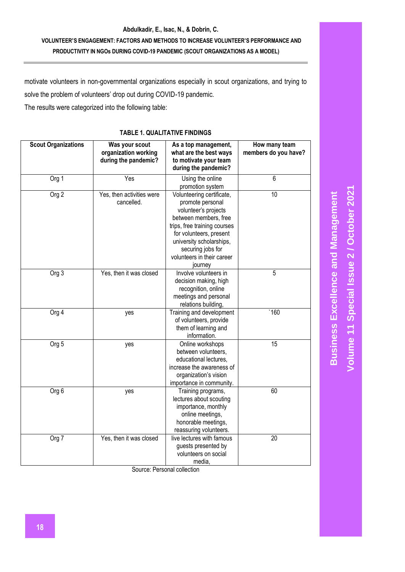motivate volunteers in non-governmental organizations especially in scout organizations, and trying to solve the problem of volunteers' drop out during COVID-19 pandemic.

The results were categorized into the following table:

## **TABLE 1. QUALITATIVE FINDINGS**

| <b>Scout Organizations</b> | Was your scout<br>organization working<br>during the pandemic? | As a top management,<br>what are the best ways<br>to motivate your team<br>during the pandemic?                                                                                                                                                     | How many team<br>members do you have? |
|----------------------------|----------------------------------------------------------------|-----------------------------------------------------------------------------------------------------------------------------------------------------------------------------------------------------------------------------------------------------|---------------------------------------|
| Org 1                      | Yes                                                            | Using the online<br>promotion system                                                                                                                                                                                                                | 6                                     |
| Org <sub>2</sub>           | Yes, then activities were<br>cancelled.                        | Volunteering certificate,<br>promote personal<br>volunteer's projects<br>between members, free<br>trips, free training courses<br>for volunteers, present<br>university scholarships,<br>securing jobs for<br>volunteers in their career<br>journey | 10                                    |
| Org <sub>3</sub>           | Yes, then it was closed                                        | Involve volunteers in<br>decision making, high<br>recognition, online<br>meetings and personal<br>relations building,                                                                                                                               | 5                                     |
| Org 4                      | yes                                                            | Training and development<br>of volunteers, provide<br>them of learning and<br>information.                                                                                                                                                          | '160                                  |
| Org <sub>5</sub>           | yes                                                            | Online workshops<br>between volunteers,<br>educational lectures,<br>increase the awareness of<br>organization's vision<br>importance in community.                                                                                                  | 15                                    |
| Org 6                      | yes                                                            | Training programs,<br>lectures about scouting<br>importance, monthly<br>online meetings,<br>honorable meetings,<br>reassuring volunteers.                                                                                                           | 60                                    |
| Org 7                      | Yes, then it was closed                                        | live lectures with famous<br>guests presented by<br>volunteers on social<br>media,                                                                                                                                                                  | 20                                    |

Source: Personal collection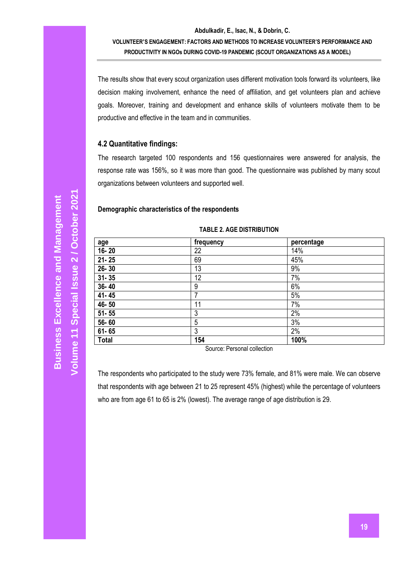The results show that every scout organization uses different motivation tools forward its volunteers, like decision making involvement, enhance the need of affiliation, and get volunteers plan and achieve goals. Moreover, training and development and enhance skills of volunteers motivate them to be productive and effective in the team and in communities.

#### **4.2 Quantitative findings:**

The research targeted 100 respondents and 156 questionnaires were answered for analysis, the response rate was 156%, so it was more than good. The questionnaire was published by many scout organizations between volunteers and supported well.

#### **Demographic characteristics of the respondents**

| age          | frequency | percentage |
|--------------|-----------|------------|
| 16-20        | 22        | 14%        |
| $21 - 25$    | 69        | 45%        |
| $26 - 30$    | 13        | 9%         |
| $31 - 35$    | 12        | 7%         |
| 36-40        | 9         | 6%         |
| 41-45        | 7         | 5%         |
| 46-50        | 11        | 7%         |
| $51 - 55$    | 3         | 2%         |
| 56-60        | 5         | 3%         |
| $61 - 65$    | 3         | 2%         |
| <b>Total</b> | 154       | 100%       |

#### **TABLE 2. AGE DISTRIBUTION**

Source: Personal collection

The respondents who participated to the study were 73% female, and 81% were male. We can observe that respondents with age between 21 to 25 represent 45% (highest) while the percentage of volunteers who are from age 61 to 65 is 2% (lowest). The average range of age distribution is 29.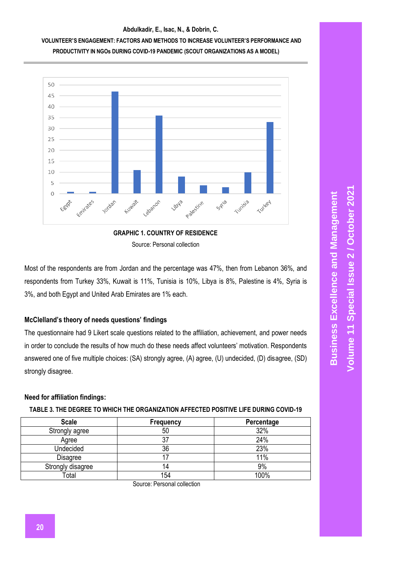





Most of the respondents are from Jordan and the percentage was 47%, then from Lebanon 36%, and respondents from Turkey 33%, Kuwait is 11%, Tunisia is 10%, Libya is 8%, Palestine is 4%, Syria is 3%, and both Egypt and United Arab Emirates are 1% each.

## **McClelland's theory of needs questions' findings**

The questionnaire had 9 Likert scale questions related to the affiliation, achievement, and power needs in order to conclude the results of how much do these needs affect volunteers' motivation. Respondents answered one of five multiple choices: (SA) strongly agree, (A) agree, (U) undecided, (D) disagree, (SD) strongly disagree.

## **Need for affiliation findings:**

| <b>Scale</b>      | Frequency | Percentage |
|-------------------|-----------|------------|
| Strongly agree    | 50        | 32%        |
| Agree             | 37        | 24%        |
| Undecided         | 36        | 23%        |
| <b>Disagree</b>   |           | 11%        |
| Strongly disagree | 14        | 9%         |
| Total             | 154       | 100%       |

Source: Personal collection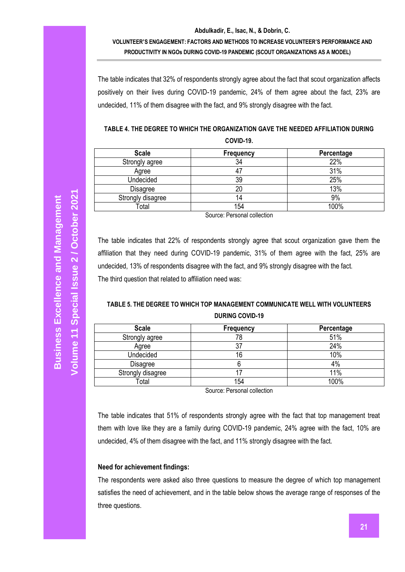The table indicates that 32% of respondents strongly agree about the fact that scout organization affects positively on their lives during COVID-19 pandemic, 24% of them agree about the fact, 23% are undecided, 11% of them disagree with the fact, and 9% strongly disagree with the fact.

| TABLE 4. THE DEGREE TO WHICH THE ORGANIZATION GAVE THE NEEDED AFFILIATION DURING |
|----------------------------------------------------------------------------------|
| COVID-19.                                                                        |

| <b>Scale</b>      | Frequency | Percentage |
|-------------------|-----------|------------|
| Strongly agree    | 34        | 22%        |
| Agree             | 4         | 31%        |
| Undecided         | 39        | 25%        |
| Disagree          | 20        | 13%        |
| Strongly disagree | 14        | 9%         |
| Total             | 154       | 100%       |

Source: Personal collection

The table indicates that 22% of respondents strongly agree that scout organization gave them the affiliation that they need during COVID-19 pandemic, 31% of them agree with the fact, 25% are undecided, 13% of respondents disagree with the fact, and 9% strongly disagree with the fact. The third question that related to affiliation need was:

## **TABLE 5. THE DEGREE TO WHICH TOP MANAGEMENT COMMUNICATE WELL WITH VOLUNTEERS DURING COVID-19**

| <b>Scale</b>      | Frequency | Percentage |
|-------------------|-----------|------------|
| Strongly agree    | 78        | 51%        |
| Agree             | 27<br>J.  | 24%        |
| Undecided         | 16        | 10%        |
| <b>Disagree</b>   |           | 4%         |
| Strongly disagree |           | 11%        |
| Total             | 154       | 100%       |

Source: Personal collection

The table indicates that 51% of respondents strongly agree with the fact that top management treat them with love like they are a family during COVID-19 pandemic, 24% agree with the fact, 10% are undecided, 4% of them disagree with the fact, and 11% strongly disagree with the fact.

#### **Need for achievement findings:**

The respondents were asked also three questions to measure the degree of which top management satisfies the need of achievement, and in the table below shows the average range of responses of the three questions.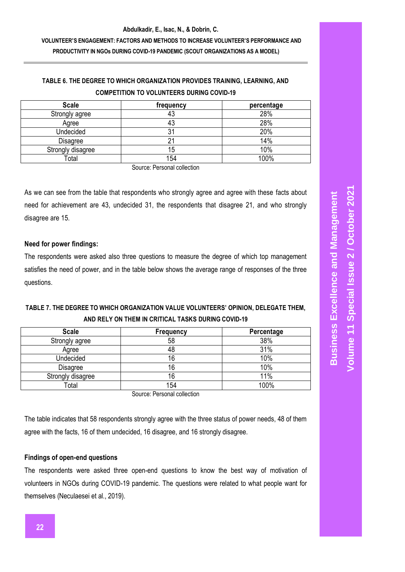# **TABLE 6. THE DEGREE TO WHICH ORGANIZATION PROVIDES TRAINING, LEARNING, AND COMPETITION TO VOLUNTEERS DURING COVID-19**

| <b>Scale</b>      | frequency | percentage |
|-------------------|-----------|------------|
| Strongly agree    | 43        | 28%        |
| Agree             | 43        | 28%        |
| Undecided         | 31        | 20%        |
| Disagree          |           | 14%        |
| Strongly disagree | 15        | 10%        |
| Total             | 154       | 100%       |

Source: Personal collection

As we can see from the table that respondents who strongly agree and agree with these facts about need for achievement are 43, undecided 31, the respondents that disagree 21, and who strongly disagree are 15.

## **Need for power findings:**

The respondents were asked also three questions to measure the degree of which top management satisfies the need of power, and in the table below shows the average range of responses of the three questions.

# **TABLE 7. THE DEGREE TO WHICH ORGANIZATION VALUE VOLUNTEERS' OPINION, DELEGATE THEM, AND RELY ON THEM IN CRITICAL TASKS DURING COVID-19**

| <b>Scale</b>      | Frequency | Percentage |
|-------------------|-----------|------------|
| Strongly agree    | 58        | 38%        |
| Agree             | 48        | 31%        |
| Undecided         | 16        | 10%        |
| <b>Disagree</b>   | 16        | 10%        |
| Strongly disagree | 16        | 11%        |
| Total             | 154       | 100%       |

Source: Personal collection

The table indicates that 58 respondents strongly agree with the three status of power needs, 48 of them agree with the facts, 16 of them undecided, 16 disagree, and 16 strongly disagree.

## **Findings of open-end questions**

The respondents were asked three open-end questions to know the best way of motivation of volunteers in NGOs during COVID-19 pandemic. The questions were related to what people want for themselves (Neculaesei et al., 2019).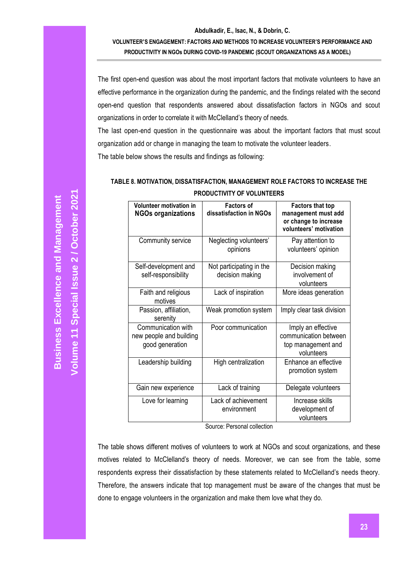#### **Abdulkadir, E., Isac, N., & Dobrin, C.**

**VOLUNTEER'S ENGAGEMENT: FACTORS AND METHODS TO INCREASE VOLUNTEER'S PERFORMANCE AND PRODUCTIVITY IN NGOs DURING COVID-19 PANDEMIC (SCOUT ORGANIZATIONS AS A MODEL)**

The first open-end question was about the most important factors that motivate volunteers to have an effective performance in the organization during the pandemic, and the findings related with the second open-end question that respondents answered about dissatisfaction factors in NGOs and scout organizations in order to correlate it with McClelland's theory of needs.

The last open-end question in the questionnaire was about the important factors that must scout organization add or change in managing the team to motivate the volunteer leaders. The table below shows the results and findings as following:

## **TABLE 8. MOTIVATION, DISSATISFACTION, MANAGEMENT ROLE FACTORS TO INCREASE THE PRODUCTIVITY OF VOLUNTEERS**

| Volunteer motivation in<br><b>NGOs organizations</b>             | <b>Factors of</b><br>dissatisfaction in NGOs | <b>Factors that top</b><br>management must add<br>or change to increase<br>volunteers' motivation |
|------------------------------------------------------------------|----------------------------------------------|---------------------------------------------------------------------------------------------------|
| Community service                                                | Neglecting volunteers'<br>opinions           | Pay attention to<br>volunteers' opinion                                                           |
| Self-development and<br>self-responsibility                      | Not participating in the<br>decision making  | Decision making<br>involvement of<br>volunteers                                                   |
| Faith and religious<br>motives                                   | Lack of inspiration                          | More ideas generation                                                                             |
| Passion, affiliation,<br>serenity                                | Weak promotion system                        | Imply clear task division                                                                         |
| Communication with<br>new people and building<br>good generation | Poor communication                           | Imply an effective<br>communication between<br>top management and<br>volunteers                   |
| Leadership building                                              | High centralization                          | Enhance an effective<br>promotion system                                                          |
| Gain new experience                                              | Lack of training                             | Delegate volunteers                                                                               |
| Love for learning                                                | Lack of achievement<br>environment           | Increase skills<br>development of<br>volunteers                                                   |

Source: Personal collection

The table shows different motives of volunteers to work at NGOs and scout organizations, and these motives related to McClelland's theory of needs. Moreover, we can see from the table, some respondents express their dissatisfaction by these statements related to McClelland's needs theory. Therefore, the answers indicate that top management must be aware of the changes that must be done to engage volunteers in the organization and make them love what they do.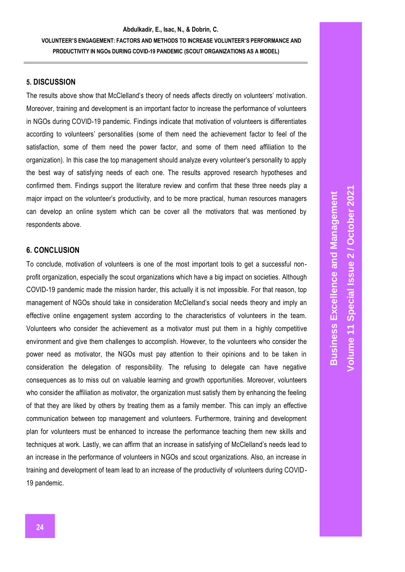#### **5. DISCUSSION**

The results above show that McClelland's theory of needs affects directly on volunteers' motivation. Moreover, training and development is an important factor to increase the performance of volunteers in NGOs during COVID-19 pandemic. Findings indicate that motivation of volunteers is differentiates according to volunteers' personalities (some of them need the achievement factor to feel of the satisfaction, some of them need the power factor, and some of them need affiliation to the organization). In this case the top management should analyze every volunteer's personality to apply the best way of satisfying needs of each one. The results approved research hypotheses and confirmed them. Findings support the literature review and confirm that these three needs play a major impact on the volunteer's productivity, and to be more practical, human resources managers can develop an online system which can be cover all the motivators that was mentioned by respondents above.

### **6. CONCLUSION**

To conclude, motivation of volunteers is one of the most important tools to get a successful nonprofit organization, especially the scout organizations which have a big impact on societies. Although COVID-19 pandemic made the mission harder, this actually it is not impossible. For that reason, top management of NGOs should take in consideration McClelland's social needs theory and imply an effective online engagement system according to the characteristics of volunteers in the team. Volunteers who consider the achievement as a motivator must put them in a highly competitive environment and give them challenges to accomplish. However, to the volunteers who consider the power need as motivator, the NGOs must pay attention to their opinions and to be taken in consideration the delegation of responsibility. The refusing to delegate can have negative consequences as to miss out on valuable learning and growth opportunities. Moreover, volunteers who consider the affiliation as motivator, the organization must satisfy them by enhancing the feeling of that they are liked by others by treating them as a family member. This can imply an effective communication between top management and volunteers. Furthermore, training and development plan for volunteers must be enhanced to increase the performance teaching them new skills and techniques at work. Lastly, we can affirm that an increase in satisfying of McClelland's needs lead to an increase in the performance of volunteers in NGOs and scout organizations. Also, an increase in training and development of team lead to an increase of the productivity of volunteers during COVID-19 pandemic.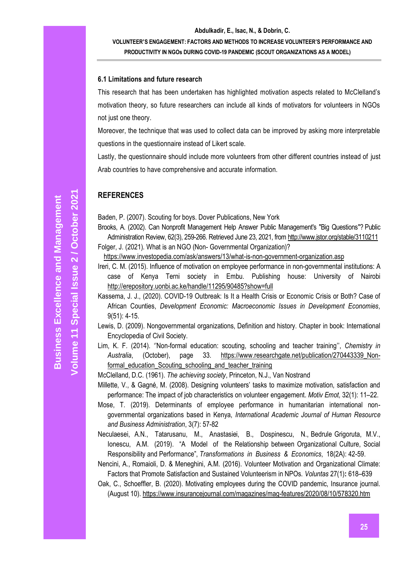#### **6.1 Limitations and future research**

This research that has been undertaken has highlighted motivation aspects related to McClelland's motivation theory, so future researchers can include all kinds of motivators for volunteers in NGOs not just one theory.

Moreover, the technique that was used to collect data can be improved by asking more interpretable questions in the questionnaire instead of Likert scale.

Lastly, the questionnaire should include more volunteers from other different countries instead of just Arab countries to have comprehensive and accurate information.

#### **REFERENCES**

Baden, P. (2007). Scouting for boys. Dover Publications, New York

Brooks, A. (2002). Can Nonprofit Management Help Answer Public Management's "Big Questions"? Public Administration Review, 62(3), 259-266. Retrieved June 23, 2021, fro[m http://www.jstor.org/stable/3110211](http://www.jstor.org/stable/3110211)

Folger, J. (2021). What is an NGO (Non- Governmental Organization)?

<https://www.investopedia.com/ask/answers/13/what-is-non-government-organization.asp>

- Ireri, C. M. (2015). Influence of motivation on employee performance in non-governmental institutions: A case of Kenya Terni society in Embu. Publishing house: University of Nairobi <http://erepository.uonbi.ac.ke/handle/11295/90485?show=full>
- Kassema, J. J., (2020). COVID-19 Outbreak: Is It a Health Crisis or Economic Crisis or Both? Case of African Counties, *Development Economic: Macroeconomic Issues in Development Economies,*  9(51): 4-15.
- Lewis, D. (2009). Nongovernmental organizations, Definition and history. Chapter in book: International Encyclopedia of Civil Society.
- Lim, K. F. (2014). ''Non-formal education: scouting, schooling and teacher training'', *Chemistry in Australia*, (October), page 33. [https://www.researchgate.net/publication/270443339\\_Non](https://www.researchgate.net/publication/270443339_Non-formal_education_Scouting_schooling_and_teacher_training)formal education Scouting schooling and teacher training

[McClelland,](https://www.worldcat.org/search?q=au%3AMcClelland%2C+David+C.&qt=hot_author) D.C. (1961). *The achieving society*, Princeton, N.J., Van Nostrand

Millette, V., & Gagné, M. (2008). Designing volunteers' tasks to maximize motivation, satisfaction and performance: The impact of job characteristics on volunteer engagement. *Motiv Emot,* 32(1): 11–22.

- Mose, T. (2019). Determinants of employee performance in humanitarian international nongovernmental organizations based in Kenya, *International Academic Journal of Human Resource and Business Administration*, 3(7): 57-82
- Neculaesei, A.N., Tatarusanu, M., Anastasiei, B., Dospinescu, N., Bedrule Grigoruta, M.V., Ionescu, A.M. (2019). "A Model of the Relationship between Organizational Culture, Social Responsibility and Performance", *Transformations in Business & Economics*, 18(2A): 42-59.

Nencini, A., Romaioli, D. & Meneghini, A.M. (2016). Volunteer Motivation and Organizational Climate: Factors that Promote Satisfaction and Sustained Volunteerism in NPOs. *Voluntas* 27(1)**:** 618–639

[Oak,](https://www.insurancejournal.com/author/catherine/) C., [Schoeffler,](https://www.insurancejournal.com/author/bill-schoeffler/) B. (2020). Motivating employees during the COVID pandemic, Insurance journal. (August 10). <https://www.insurancejournal.com/magazines/mag-features/2020/08/10/578320.htm>